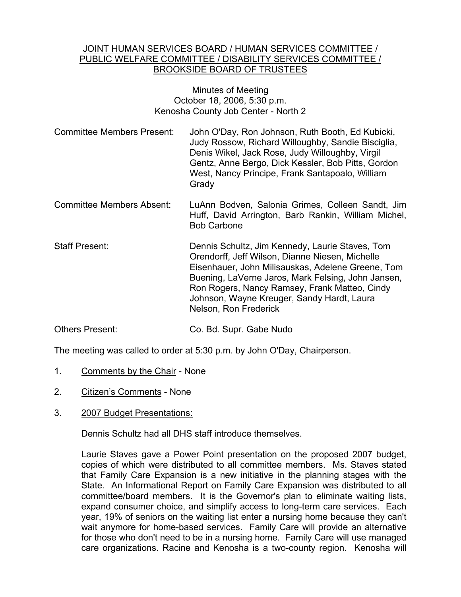#### JOINT HUMAN SERVICES BOARD / HUMAN SERVICES COMMITTEE / PUBLIC WELFARE COMMITTEE / DISABILITY SERVICES COMMITTEE / BROOKSIDE BOARD OF TRUSTEES

#### Minutes of Meeting October 18, 2006, 5:30 p.m. Kenosha County Job Center - North 2

- Committee Members Present: John O'Day, Ron Johnson, Ruth Booth, Ed Kubicki, Judy Rossow, Richard Willoughby, Sandie Bisciglia, Denis Wikel, Jack Rose, Judy Willoughby, Virgil Gentz, Anne Bergo, Dick Kessler, Bob Pitts, Gordon West, Nancy Principe, Frank Santapoalo, William **Grady**
- Committee Members Absent: LuAnn Bodven, Salonia Grimes, Colleen Sandt, Jim Huff, David Arrington, Barb Rankin, William Michel, Bob Carbone
- Staff Present: Dennis Schultz, Jim Kennedy, Laurie Staves, Tom Orendorff, Jeff Wilson, Dianne Niesen, Michelle Eisenhauer, John Milisauskas, Adelene Greene, Tom Buening, LaVerne Jaros, Mark Felsing, John Jansen, Ron Rogers, Nancy Ramsey, Frank Matteo, Cindy Johnson, Wayne Kreuger, Sandy Hardt, Laura Nelson, Ron Frederick
- Others Present: Co. Bd. Supr. Gabe Nudo

The meeting was called to order at 5:30 p.m. by John O'Day, Chairperson.

- 1. Comments by the Chair None
- 2. Citizen's Comments None
- 3. 2007 Budget Presentations:

Dennis Schultz had all DHS staff introduce themselves.

Laurie Staves gave a Power Point presentation on the proposed 2007 budget, copies of which were distributed to all committee members. Ms. Staves stated that Family Care Expansion is a new initiative in the planning stages with the State. An Informational Report on Family Care Expansion was distributed to all committee/board members. It is the Governor's plan to eliminate waiting lists, expand consumer choice, and simplify access to long-term care services. Each year, 19% of seniors on the waiting list enter a nursing home because they can't wait anymore for home-based services. Family Care will provide an alternative for those who don't need to be in a nursing home. Family Care will use managed care organizations. Racine and Kenosha is a two-county region. Kenosha will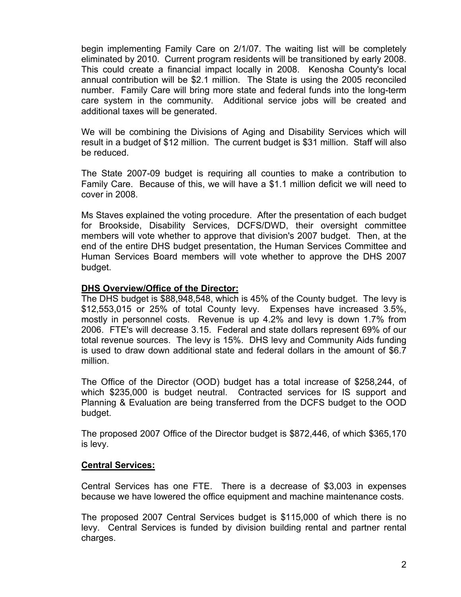begin implementing Family Care on 2/1/07. The waiting list will be completely eliminated by 2010. Current program residents will be transitioned by early 2008. This could create a financial impact locally in 2008. Kenosha County's local annual contribution will be \$2.1 million. The State is using the 2005 reconciled number. Family Care will bring more state and federal funds into the long-term care system in the community. Additional service jobs will be created and additional taxes will be generated.

We will be combining the Divisions of Aging and Disability Services which will result in a budget of \$12 million. The current budget is \$31 million. Staff will also be reduced.

The State 2007-09 budget is requiring all counties to make a contribution to Family Care. Because of this, we will have a \$1.1 million deficit we will need to cover in 2008.

Ms Staves explained the voting procedure. After the presentation of each budget for Brookside, Disability Services, DCFS/DWD, their oversight committee members will vote whether to approve that division's 2007 budget. Then, at the end of the entire DHS budget presentation, the Human Services Committee and Human Services Board members will vote whether to approve the DHS 2007 budget.

### **DHS Overview/Office of the Director:**

The DHS budget is \$88,948,548, which is 45% of the County budget. The levy is \$12,553,015 or 25% of total County levy. Expenses have increased 3.5%, mostly in personnel costs. Revenue is up 4.2% and levy is down 1.7% from 2006. FTE's will decrease 3.15. Federal and state dollars represent 69% of our total revenue sources. The levy is 15%. DHS levy and Community Aids funding is used to draw down additional state and federal dollars in the amount of \$6.7 million.

The Office of the Director (OOD) budget has a total increase of \$258,244, of which \$235,000 is budget neutral. Contracted services for IS support and Planning & Evaluation are being transferred from the DCFS budget to the OOD budget.

The proposed 2007 Office of the Director budget is \$872,446, of which \$365,170 is levy.

# **Central Services:**

Central Services has one FTE. There is a decrease of \$3,003 in expenses because we have lowered the office equipment and machine maintenance costs.

The proposed 2007 Central Services budget is \$115,000 of which there is no levy. Central Services is funded by division building rental and partner rental charges.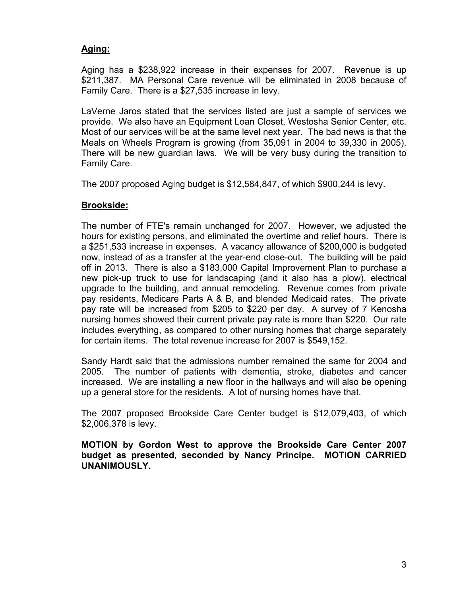# **Aging:**

Aging has a \$238,922 increase in their expenses for 2007. Revenue is up \$211,387. MA Personal Care revenue will be eliminated in 2008 because of Family Care. There is a \$27,535 increase in levy.

LaVerne Jaros stated that the services listed are just a sample of services we provide. We also have an Equipment Loan Closet, Westosha Senior Center, etc. Most of our services will be at the same level next year. The bad news is that the Meals on Wheels Program is growing (from 35,091 in 2004 to 39,330 in 2005). There will be new guardian laws. We will be very busy during the transition to Family Care.

The 2007 proposed Aging budget is \$12,584,847, of which \$900,244 is levy.

## **Brookside:**

The number of FTE's remain unchanged for 2007. However, we adjusted the hours for existing persons, and eliminated the overtime and relief hours. There is a \$251,533 increase in expenses. A vacancy allowance of \$200,000 is budgeted now, instead of as a transfer at the year-end close-out. The building will be paid off in 2013. There is also a \$183,000 Capital Improvement Plan to purchase a new pick-up truck to use for landscaping (and it also has a plow), electrical upgrade to the building, and annual remodeling. Revenue comes from private pay residents, Medicare Parts A & B, and blended Medicaid rates. The private pay rate will be increased from \$205 to \$220 per day. A survey of 7 Kenosha nursing homes showed their current private pay rate is more than \$220. Our rate includes everything, as compared to other nursing homes that charge separately for certain items. The total revenue increase for 2007 is \$549,152.

Sandy Hardt said that the admissions number remained the same for 2004 and 2005. The number of patients with dementia, stroke, diabetes and cancer increased. We are installing a new floor in the hallways and will also be opening up a general store for the residents. A lot of nursing homes have that.

The 2007 proposed Brookside Care Center budget is \$12,079,403, of which \$2,006,378 is levy.

**MOTION by Gordon West to approve the Brookside Care Center 2007 budget as presented, seconded by Nancy Principe. MOTION CARRIED UNANIMOUSLY.**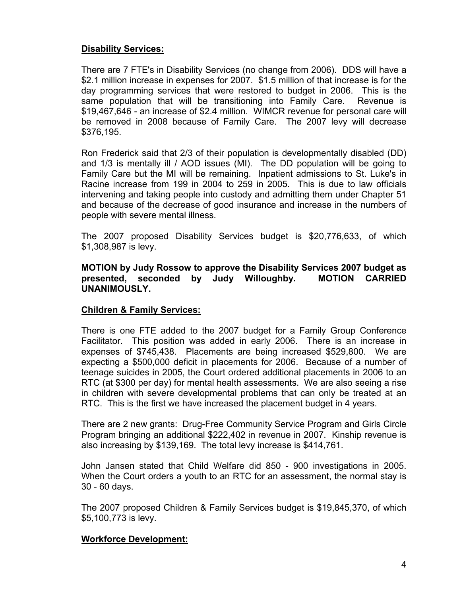## **Disability Services:**

There are 7 FTE's in Disability Services (no change from 2006). DDS will have a \$2.1 million increase in expenses for 2007. \$1.5 million of that increase is for the day programming services that were restored to budget in 2006. This is the same population that will be transitioning into Family Care. Revenue is \$19,467,646 - an increase of \$2.4 million. WIMCR revenue for personal care will be removed in 2008 because of Family Care. The 2007 levy will decrease \$376,195.

Ron Frederick said that 2/3 of their population is developmentally disabled (DD) and 1/3 is mentally ill / AOD issues (MI). The DD population will be going to Family Care but the MI will be remaining. Inpatient admissions to St. Luke's in Racine increase from 199 in 2004 to 259 in 2005. This is due to law officials intervening and taking people into custody and admitting them under Chapter 51 and because of the decrease of good insurance and increase in the numbers of people with severe mental illness.

The 2007 proposed Disability Services budget is \$20,776,633, of which \$1,308,987 is levy.

### **MOTION by Judy Rossow to approve the Disability Services 2007 budget as presented, seconded by Judy Willoughby. MOTION CARRIED UNANIMOUSLY.**

### **Children & Family Services:**

There is one FTE added to the 2007 budget for a Family Group Conference Facilitator. This position was added in early 2006. There is an increase in expenses of \$745,438. Placements are being increased \$529,800. We are expecting a \$500,000 deficit in placements for 2006. Because of a number of teenage suicides in 2005, the Court ordered additional placements in 2006 to an RTC (at \$300 per day) for mental health assessments. We are also seeing a rise in children with severe developmental problems that can only be treated at an RTC. This is the first we have increased the placement budget in 4 years.

There are 2 new grants: Drug-Free Community Service Program and Girls Circle Program bringing an additional \$222,402 in revenue in 2007. Kinship revenue is also increasing by \$139,169. The total levy increase is \$414,761.

John Jansen stated that Child Welfare did 850 - 900 investigations in 2005. When the Court orders a youth to an RTC for an assessment, the normal stay is 30 - 60 days.

The 2007 proposed Children & Family Services budget is \$19,845,370, of which \$5,100,773 is levy.

### **Workforce Development:**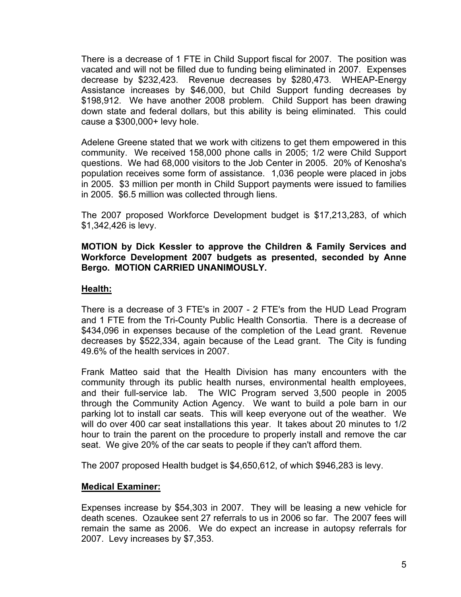There is a decrease of 1 FTE in Child Support fiscal for 2007. The position was vacated and will not be filled due to funding being eliminated in 2007. Expenses decrease by \$232,423. Revenue decreases by \$280,473. WHEAP-Energy Assistance increases by \$46,000, but Child Support funding decreases by \$198,912. We have another 2008 problem. Child Support has been drawing down state and federal dollars, but this ability is being eliminated. This could cause a \$300,000+ levy hole.

Adelene Greene stated that we work with citizens to get them empowered in this community. We received 158,000 phone calls in 2005; 1/2 were Child Support questions. We had 68,000 visitors to the Job Center in 2005. 20% of Kenosha's population receives some form of assistance. 1,036 people were placed in jobs in 2005. \$3 million per month in Child Support payments were issued to families in 2005. \$6.5 million was collected through liens.

The 2007 proposed Workforce Development budget is \$17,213,283, of which \$1,342,426 is levy.

#### **MOTION by Dick Kessler to approve the Children & Family Services and Workforce Development 2007 budgets as presented, seconded by Anne Bergo. MOTION CARRIED UNANIMOUSLY.**

# **Health:**

There is a decrease of 3 FTE's in 2007 - 2 FTE's from the HUD Lead Program and 1 FTE from the Tri-County Public Health Consortia. There is a decrease of \$434,096 in expenses because of the completion of the Lead grant. Revenue decreases by \$522,334, again because of the Lead grant. The City is funding 49.6% of the health services in 2007.

Frank Matteo said that the Health Division has many encounters with the community through its public health nurses, environmental health employees, and their full-service lab. The WIC Program served 3,500 people in 2005 through the Community Action Agency. We want to build a pole barn in our parking lot to install car seats. This will keep everyone out of the weather. We will do over 400 car seat installations this year. It takes about 20 minutes to 1/2 hour to train the parent on the procedure to properly install and remove the car seat. We give 20% of the car seats to people if they can't afford them.

The 2007 proposed Health budget is \$4,650,612, of which \$946,283 is levy.

### **Medical Examiner:**

Expenses increase by \$54,303 in 2007. They will be leasing a new vehicle for death scenes. Ozaukee sent 27 referrals to us in 2006 so far. The 2007 fees will remain the same as 2006. We do expect an increase in autopsy referrals for 2007. Levy increases by \$7,353.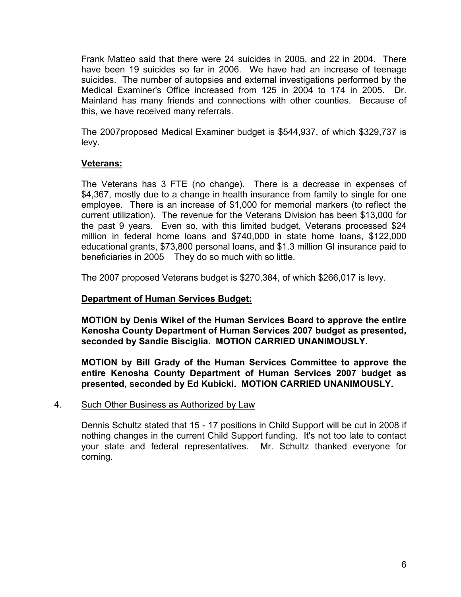Frank Matteo said that there were 24 suicides in 2005, and 22 in 2004. There have been 19 suicides so far in 2006. We have had an increase of teenage suicides. The number of autopsies and external investigations performed by the Medical Examiner's Office increased from 125 in 2004 to 174 in 2005. Dr. Mainland has many friends and connections with other counties. Because of this, we have received many referrals.

The 2007proposed Medical Examiner budget is \$544,937, of which \$329,737 is levy.

## **Veterans:**

The Veterans has 3 FTE (no change). There is a decrease in expenses of \$4,367, mostly due to a change in health insurance from family to single for one employee. There is an increase of \$1,000 for memorial markers (to reflect the current utilization). The revenue for the Veterans Division has been \$13,000 for the past 9 years. Even so, with this limited budget, Veterans processed \$24 million in federal home loans and \$740,000 in state home loans, \$122,000 educational grants, \$73,800 personal loans, and \$1.3 million GI insurance paid to beneficiaries in 2005 They do so much with so little.

The 2007 proposed Veterans budget is \$270,384, of which \$266,017 is levy.

### **Department of Human Services Budget:**

**MOTION by Denis Wikel of the Human Services Board to approve the entire Kenosha County Department of Human Services 2007 budget as presented, seconded by Sandie Bisciglia. MOTION CARRIED UNANIMOUSLY.**

**MOTION by Bill Grady of the Human Services Committee to approve the entire Kenosha County Department of Human Services 2007 budget as presented, seconded by Ed Kubicki. MOTION CARRIED UNANIMOUSLY.**

#### 4. Such Other Business as Authorized by Law

Dennis Schultz stated that 15 - 17 positions in Child Support will be cut in 2008 if nothing changes in the current Child Support funding. It's not too late to contact your state and federal representatives. Mr. Schultz thanked everyone for coming.